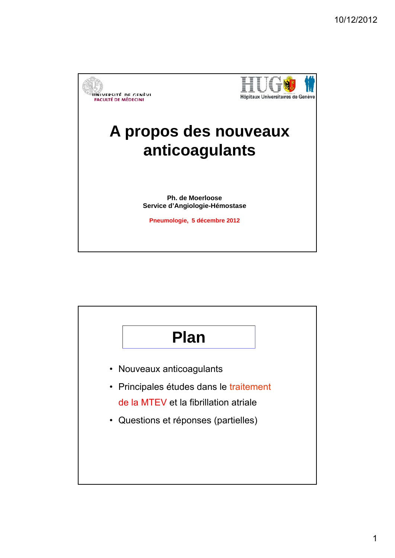

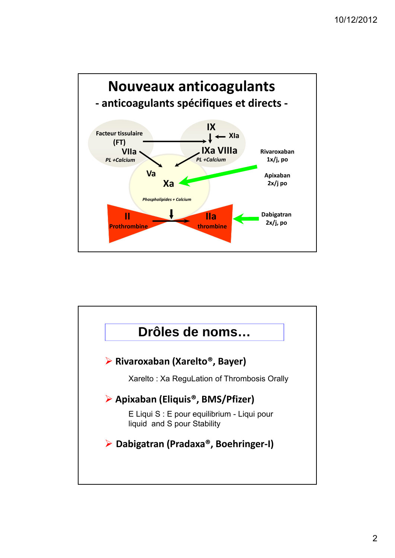

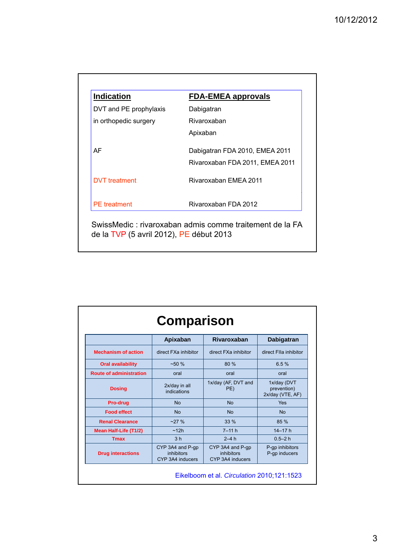| DVT and PE prophylaxis<br>in orthopedic surgery | Dabigatran<br>Rivaroxaban       |
|-------------------------------------------------|---------------------------------|
|                                                 |                                 |
|                                                 |                                 |
|                                                 | Apixaban                        |
| AF                                              | Dabigatran FDA 2010, EMEA 2011  |
|                                                 | Rivaroxaban FDA 2011, EMEA 2011 |
| <b>DVT</b> treatment                            | Rivaroxaban EMEA 2011           |
| <b>PE</b> treatment                             | Rivaroxaban FDA 2012            |

|                                | Apixaban                                                  | Rivaroxaban                                        | <b>Dabigatran</b>                              |
|--------------------------------|-----------------------------------------------------------|----------------------------------------------------|------------------------------------------------|
| <b>Mechanism of action</b>     | direct FXa inhibitor                                      | direct FXa inhibitor                               | direct FIIa inhibitor                          |
| <b>Oral availability</b>       | $~1.50\%$                                                 | 80%                                                | 6.5%                                           |
| <b>Route of administration</b> | oral                                                      | oral                                               | oral                                           |
| <b>Dosing</b>                  | 2x/day in all<br>indications                              | 1x/day (AF, DVT and<br>PE)                         | 1x/day (DVT<br>prevention)<br>2x/day (VTE, AF) |
| Pro-drug                       | <b>No</b>                                                 | <b>No</b>                                          | Yes                                            |
| <b>Food effect</b>             | <b>No</b>                                                 | <b>No</b>                                          | <b>No</b>                                      |
| <b>Renal Clearance</b>         | ~27%                                                      | 33 %                                               | 85 %                                           |
| <b>Mean Half-Life (T1/2)</b>   | ~12h                                                      | $7 - 11 h$                                         | $14 - 17h$                                     |
| <b>Tmax</b>                    | 3 <sub>h</sub>                                            | $2-4h$                                             | $0.5 - 2h$                                     |
| <b>Drug interactions</b>       | CYP 3A4 and P-gp<br><i>inhibitors</i><br>CYP 3A4 inducers | CYP 3A4 and P-gp<br>inhibitors<br>CYP 3A4 inducers | P-gp inhibitors<br>P-gp inducers               |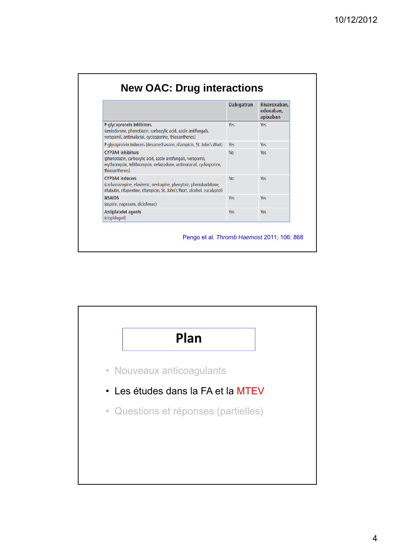|                                                                                                                                                                                    | Dabigatran | Rivaroxaban.<br>edoxaban.<br>apixaban |
|------------------------------------------------------------------------------------------------------------------------------------------------------------------------------------|------------|---------------------------------------|
| P-glycoprotein inhibitors<br>(amiodarone, phenotiazin, carboxylic acid, azole antifungals,<br>verapamil, antimalarial, cyclosporine, thioxanthenes)                                | Yes        | Yes.                                  |
| P-glycoprotein inducers (dexamethasone, rifampicin, St. John's Wort)                                                                                                               | <b>Yes</b> | Yes                                   |
| <b>CYP3A4</b> inhibitors<br>(phenotiazin, carboxylic acid, azole antifungals, verapamil,<br>erythromycin, telithromycin, nefazodone, antimalarial, cyclosporine,<br>thioxanthenes) | <b>No</b>  | Yes                                   |
| <b>CYP3A4</b> inducers<br>(carbamazepine, efavirenz, nevirapine, phenytoin, phenobarbitone,<br>rifabutin, rifapentine, rifampicin, St. John's Wort, alcohol, eucalyptol)           | <b>No</b>  | Yes                                   |
| <b>NSAIDS</b><br>(aspirin, naproxen, diclofenac)                                                                                                                                   | Yes        | Yes                                   |
| Antiplatelet agents<br>(clopidogrel)                                                                                                                                               | Yes        | Yes                                   |

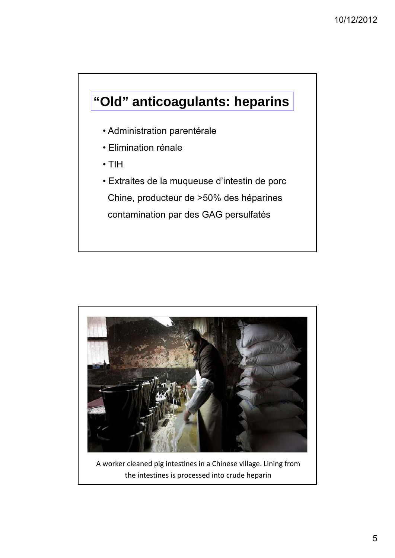## **"Old" anticoagulants: heparins**

- Administration parentérale
- Elimination rénale
- TIH
- Extraites de la muqueuse d'intestin de porc Chine, producteur de >50% des héparines contamination par des GAG persulfatés



A worker cleaned pig intestines in a Chinese village. Lining from the intestines is processed into crude heparin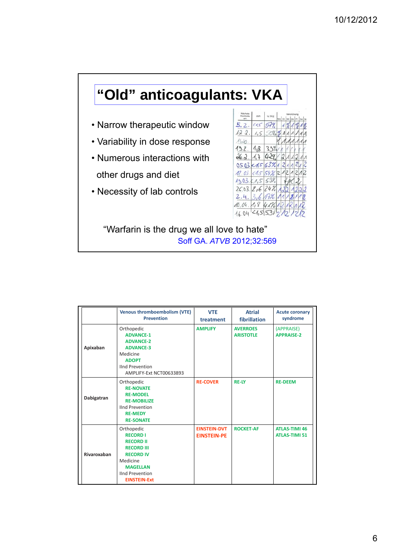## **"Old" anticoagulants: VKA**

- Narrow therapeutic window
- Variability in dose response
- Numerous interactions with

other drugs and diet

• Necessity of lab controls



"Warfarin is the drug we all love to hate" Soff GA. *ATVB* 2012;32:569

|             | <b>Venous thromboembolism (VTE)</b><br><b>Prevention</b>                                                                                                                   | <b>VTE</b><br>treatment                   | <b>Atrial</b><br>fibrillation       | <b>Acute coronary</b><br>syndrome            |
|-------------|----------------------------------------------------------------------------------------------------------------------------------------------------------------------------|-------------------------------------------|-------------------------------------|----------------------------------------------|
| Apixaban    | Orthopedic<br><b>ADVANCE-1</b><br><b>ADVANCE-2</b><br><b>ADVANCE-3</b><br>Medicine<br><b>ADOPT</b><br><b>IInd Prevention</b><br>AMPLIFY-Ext NCT00633893                    | <b>AMPLIFY</b>                            | <b>AVERROES</b><br><b>ARISTOTLE</b> | (APPRAISE)<br><b>APPRAISE-2</b>              |
| Dabigatran  | Orthopedic<br><b>RE-NOVATE</b><br><b>RE-MODEL</b><br><b>RE-MOBILIZE</b><br><b>IInd Prevention</b><br><b>RE-MEDY</b><br><b>RE-SONATE</b>                                    | <b>RE-COVER</b>                           | <b>RE-LY</b>                        | <b>RE-DEEM</b>                               |
| Rivaroxaban | Orthopedic<br><b>RECORD I</b><br><b>RECORD II</b><br><b>RECORD III</b><br><b>RECORD IV</b><br>Medicine<br><b>MAGELLAN</b><br><b>IInd Prevention</b><br><b>EINSTEIN-Ext</b> | <b>EINSTEIN-DVT</b><br><b>EINSTEIN-PE</b> | <b>ROCKET-AF</b>                    | <b>ATLAS-TIMI 46</b><br><b>ATLAS-TIMI 51</b> |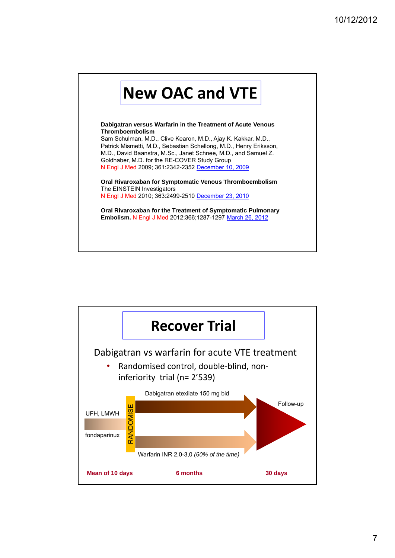

**Thromboembolism** Sam Schulman, M.D., Clive Kearon, M.D., Ajay K. Kakkar, M.D., Patrick Mismetti, M.D., Sebastian Schellong, M.D., Henry Eriksson, M.D., David Baanstra, M.Sc., Janet Schnee, M.D., and Samuel Z. Goldhaber, M.D. for the RE-COVER Study Group N Engl J Med 2009; 361:2342-2352 December 10, 2009

**Oral Rivaroxaban for Symptomatic Venous Thromboembolism** The EINSTEIN Investigators N Engl J Med 2010; 363:2499-2510 December 23, 2010

**Oral Rivaroxaban for the Treatment of Symptomatic Pulmonary Embolism.** N Engl J Med 2012;366;1287-1297 March 26, 2012

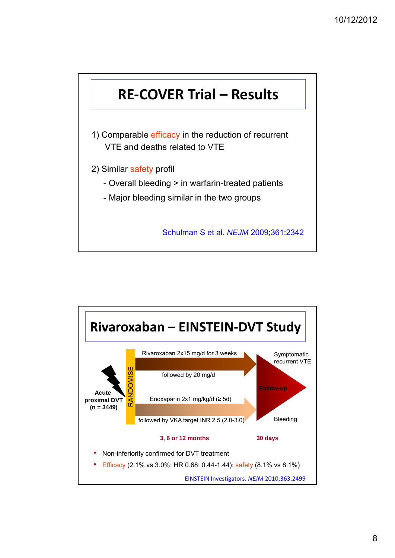

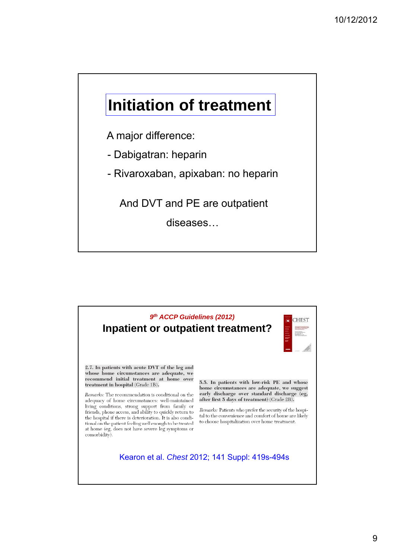## **Initiation of treatment**

A major difference:

- Dabigatran: heparin
- Rivaroxaban, apixaban: no heparin

And DVT and PE are outpatient

diseases…

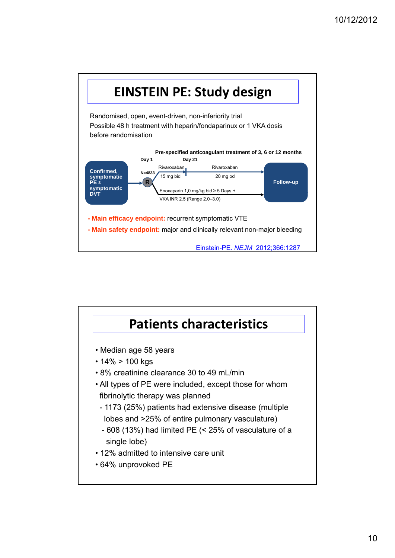

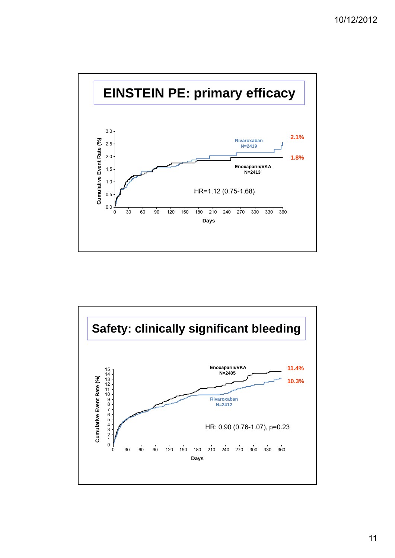

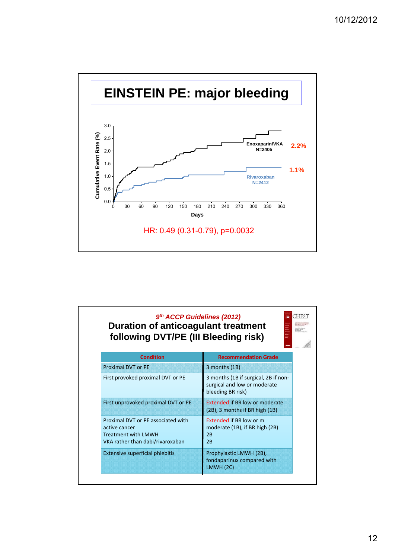

| <b>CHEST</b><br>9th ACCP Guidelines (2012)<br><b>Duration of anticoagulant treatment</b><br>li i i i i<br>following DVT/PE (III Bleeding risk) |                                                                                           |  |
|------------------------------------------------------------------------------------------------------------------------------------------------|-------------------------------------------------------------------------------------------|--|
| <b>Condition</b>                                                                                                                               | <b>Recommendation Grade</b>                                                               |  |
| <b>Proximal DVT or PE</b>                                                                                                                      | 3 months (1B)                                                                             |  |
| First provoked proximal DVT or PE                                                                                                              | 3 months (1B if surgical, 2B if non-<br>surgical and low or moderate<br>bleeding BR risk) |  |
| First unprovoked proximal DVT or PE                                                                                                            | <b>Extended if BR low or moderate</b><br>(2B), 3 months if BR high (1B)                   |  |
| Proximal DVT or PE associated with<br>active cancer<br><b>Treatment with LMWH</b><br>VKA rather than dabi/rivaroxaban                          | Extended if BR low or m<br>moderate (1B), if BR high (2B)<br>2B<br>2B                     |  |
| <b>Extensive superficial phlebitis</b>                                                                                                         | Prophylaxtic LMWH (2B),<br>fondaparinux compared with<br>LMWH (2C)                        |  |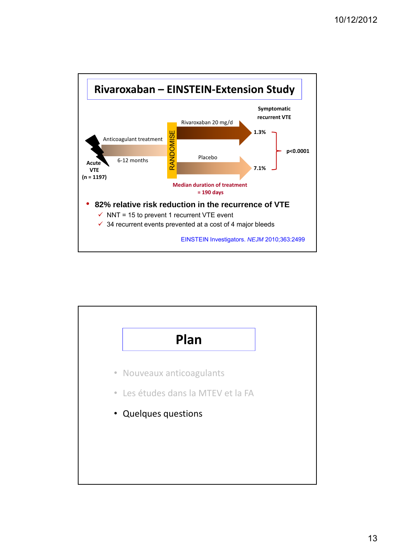

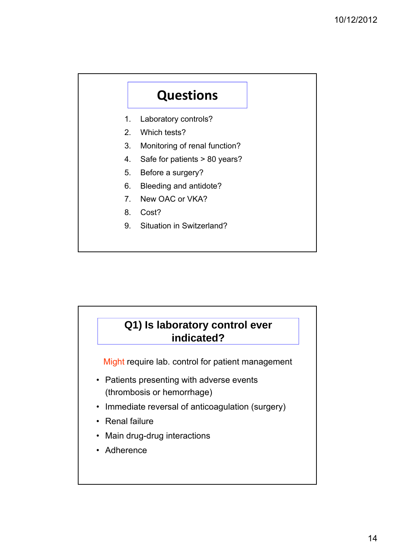## **Questions**

- 1. Laboratory controls?
- 2. Which tests?
- 3. Monitoring of renal function?
- 4. Safe for patients > 80 years?
- 5. Before a surgery?
- 6. Bleeding and antidote?
- 7. New OAC or VKA?
- 8. Cost?
- 9. Situation in Switzerland?

## **Q1) Is laboratory control ever indicated?**

Might require lab. control for patient management

- Patients presenting with adverse events (thrombosis or hemorrhage)
- Immediate reversal of anticoagulation (surgery)
- Renal failure
- Main drug-drug interactions
- Adherence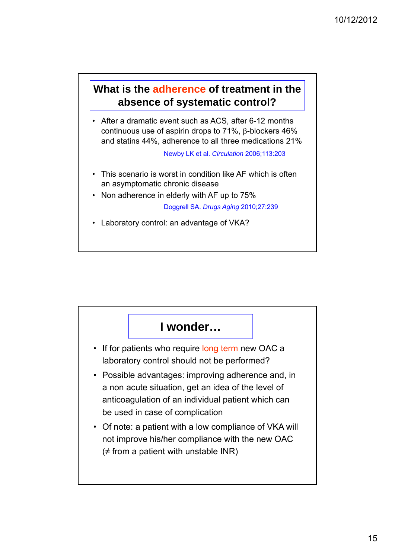#### **What is the adherence of treatment in the absence of systematic control?**

• After a dramatic event such as ACS, after 6-12 months continuous use of aspirin drops to 71%, β-blockers 46% and statins 44%, adherence to all three medications 21%

Newby LK et al. *Circulation* 2006;113:203

- This scenario is worst in condition like AF which is often an asymptomatic chronic disease
- Non adherence in elderly with AF up to  $75%$

Doggrell SA. *Drugs Aging* 2010;27:239

• Laboratory control: an advantage of VKA?

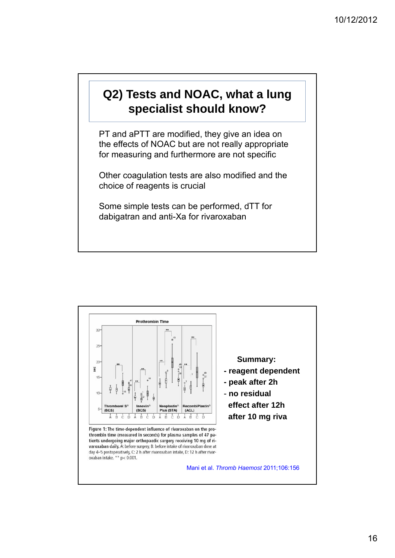### **Q2) Tests and NOAC, what a lung specialist should know?**

PT and aPTT are modified, they give an idea on the effects of NOAC but are not really appropriate for measuring and furthermore are not specific

Other coagulation tests are also modified and the choice of reagents is crucial

Some simple tests can be performed, dTT for dabigatran and anti-Xa for rivaroxaban

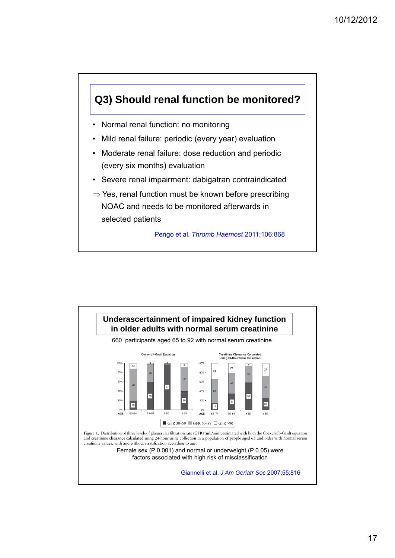

- Normal renal function: no monitoring
- Mild renal failure: periodic (every year) evaluation
- Moderate renal failure: dose reduction and periodic (every six months) evaluation
- Severe renal impairment: dabigatran contraindicated
- $\Rightarrow$  Yes, renal function must be known before prescribing NOAC and needs to be monitored afterwards in selected patients

Pengo et al. *Thromb Haemost* 2011;106:868

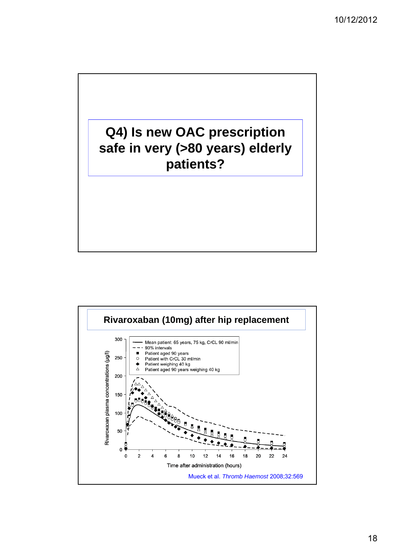

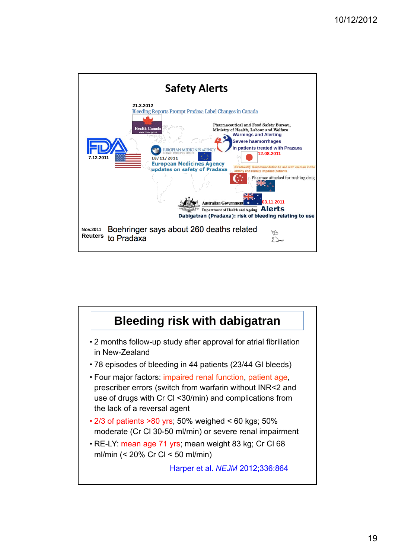

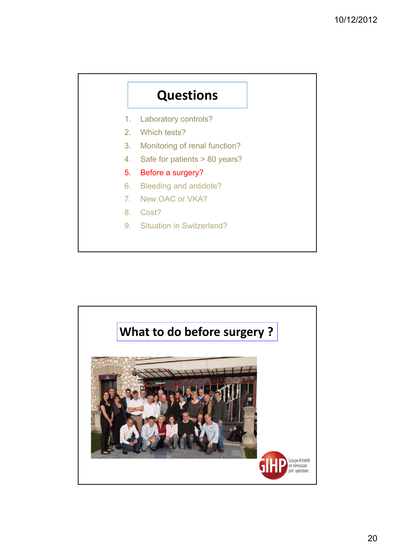## **Questions**

- 1. Laboratory controls?
- 2. Which tests?
- 3. Monitoring of renal function?
- 4. Safe for patients > 80 years?
- 5. Before a surgery?
- 6. Bleeding and antidote?
- 7. New OAC or VKA?
- 8. Cost?
- 9. Situation in Switzerland?

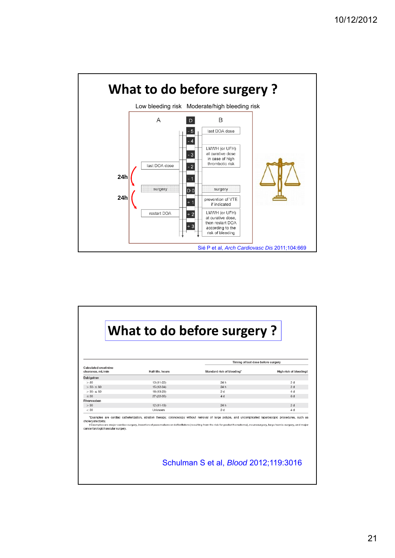

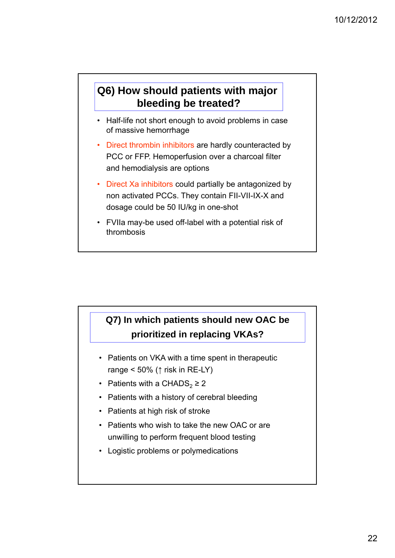### **Q6) How should patients with major bleeding be treated?**

- Half-life not short enough to avoid problems in case of massive hemorrhage
- Direct thrombin inhibitors are hardly counteracted by PCC or FFP. Hemoperfusion over a charcoal filter and hemodialysis are options
- Direct Xa inhibitors could partially be antagonized by non activated PCCs. They contain FII-VII-IX-X and dosage could be 50 IU/kg in one-shot
- FVIIa may-be used off-label with a potential risk of thrombosis

### **Q7) In which patients should new OAC be prioritized in replacing VKAs?**

- Patients on VKA with a time spent in therapeutic range <  $50\%$  ( $\uparrow$  risk in RE-LY)
- Patients with a CHADS<sub>2</sub>  $\geq$  2
- Patients with a history of cerebral bleeding
- Patients at high risk of stroke
- Patients who wish to take the new OAC or are unwilling to perform frequent blood testing
- Logistic problems or polymedications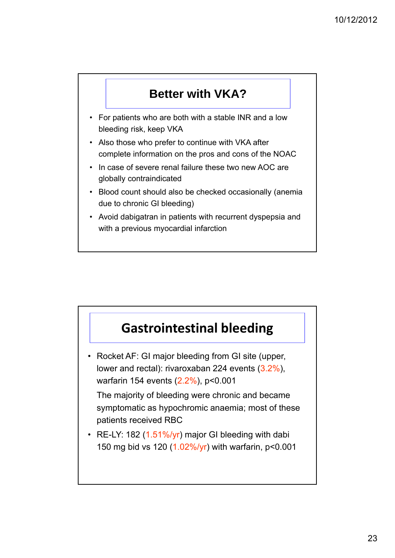### **Better with VKA?**

- For patients who are both with a stable INR and a low bleeding risk, keep VKA
- Also those who prefer to continue with VKA after complete information on the pros and cons of the NOAC
- In case of severe renal failure these two new AOC are globally contraindicated
- Blood count should also be checked occasionally (anemia due to chronic GI bleeding)
- Avoid dabigatran in patients with recurrent dyspepsia and with a previous myocardial infarction

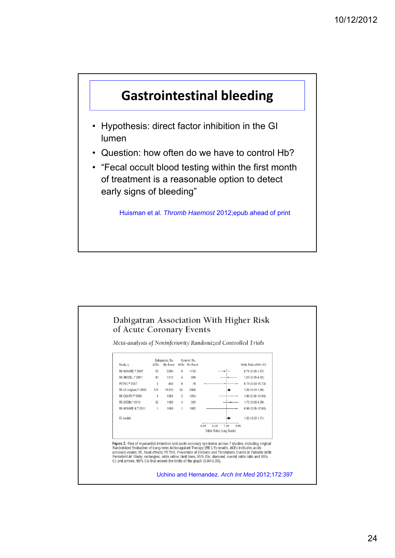

- Hypothesis: direct factor inhibition in the GI lumen
- Question: how often do we have to control Hb?
- "Fecal occult blood testing within the first month of treatment is a reasonable option to detect early signs of bleeding"

Huisman et al. *Thromb Haemost* 2012;epub ahead of print



Meta-analysis of Noninferiority Randomized Controlled Trials



Uchino and Hernandez. *Arch Int Med* 2012;172:397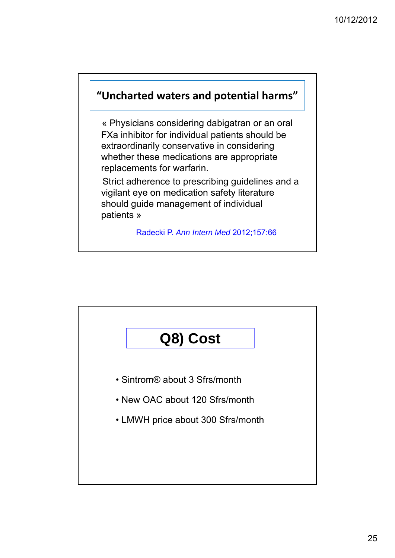### **"Uncharted waters and potential harms"**

« Physicians considering dabigatran or an oral FXa inhibitor for individual patients should be extraordinarily conservative in considering whether these medications are appropriate replacements for warfarin.

Strict adherence to prescribing guidelines and a vigilant eye on medication safety literature should guide management of individual patients »

Radecki P. *Ann Intern Med* 2012;157:66

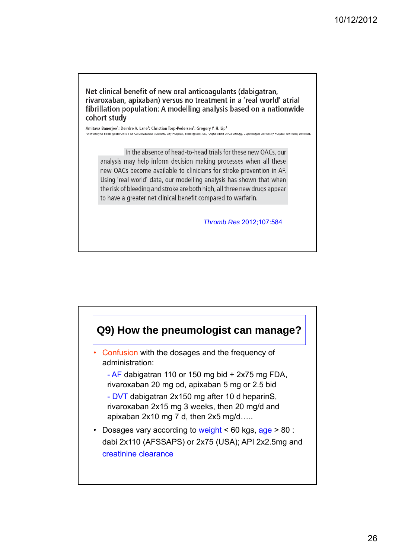Net clinical benefit of new oral anticoagulants (dabigatran. rivaroxaban, apixaban) versus no treatment in a 'real world' atrial fibrillation population: A modelling analysis based on a nationwide cohort study

Amitava Banerjee<sup>1</sup>; Deirdre A. Lane<sup>1</sup>; Christian Torp-Pedersen<sup>2</sup>; Gregory Y. H. Lip<sup>1</sup> -<br>Iniversity of Birmingham Centre for Cardiovascular Sciences, City Hospital, Birmingham, UK; <sup>2</sup>Department of Cardiology, Copenhagen University

In the absence of head-to-head trials for these new OACs, our analysis may help inform decision making processes when all these new OACs become available to clinicians for stroke prevention in AF. Using 'real world' data, our modelling analysis has shown that when the risk of bleeding and stroke are both high, all three new drugs appear to have a greater net clinical benefit compared to warfarin.

*Thromb Res* 2012;107:584

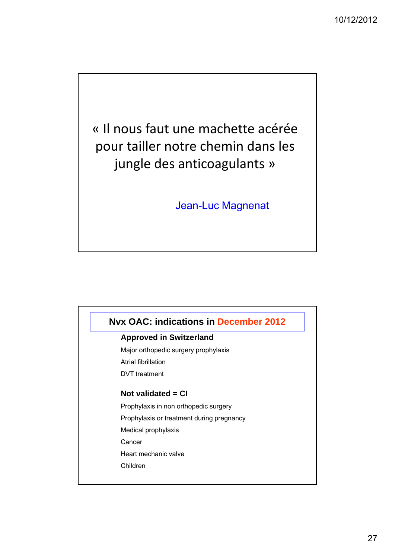« Il nous faut une machette acérée pour tailler notre chemin dans les jungle des anticoagulants »

Jean-Luc Magnenat

#### **Nvx OAC: indications in December 2012**

#### **Approved in Switzerland**

Major orthopedic surgery prophylaxis Atrial fibrillation

DVT treatment

#### **Not validated = CI**

Prophylaxis in non orthopedic surgery

Prophylaxis or treatment during pregnancy

Medical prophylaxis

Cancer

Heart mechanic valve

Children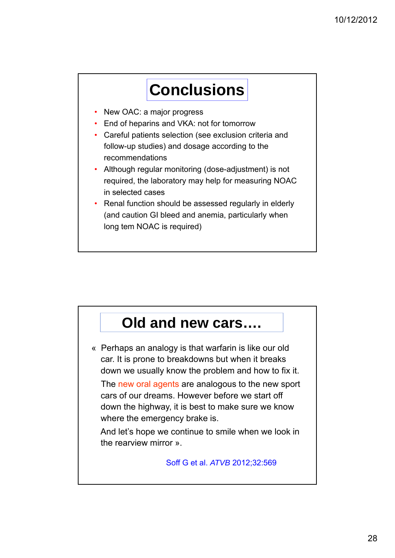# **Conclusions**

- New OAC: a major progress
- End of heparins and VKA: not for tomorrow
- Careful patients selection (see exclusion criteria and follow-up studies) and dosage according to the recommendations
- Although regular monitoring (dose-adjustment) is not required, the laboratory may help for measuring NOAC in selected cases
- Renal function should be assessed regularly in elderly (and caution GI bleed and anemia, particularly when long tem NOAC is required)

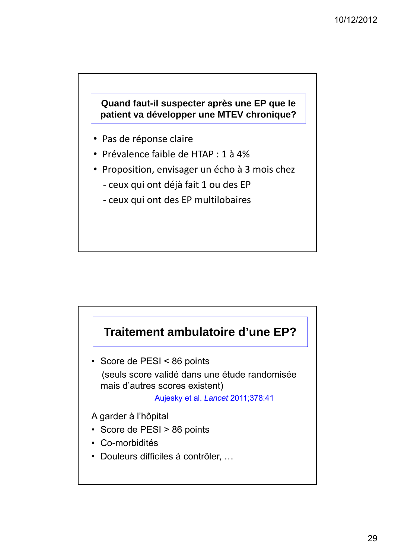#### **Quand faut-il suspecter après une EP que le patient va développer une MTEV chronique?**

- Pas de réponse claire
- Prévalence faible de HTAP : 1 à 4%
- Proposition, envisager un écho à 3 mois chez
	- ‐ ceux qui ont déjà fait 1 ou des EP
	- ‐ ceux qui ont des EP multilobaires



(seuls score validé dans une étude randomisée mais d'autres scores existent)

Aujesky et al. *Lancet* 2011;378:41

A garder à l'hôpital

- Score de PESI > 86 points
- Co-morbidités
- Douleurs difficiles à contrôler, …